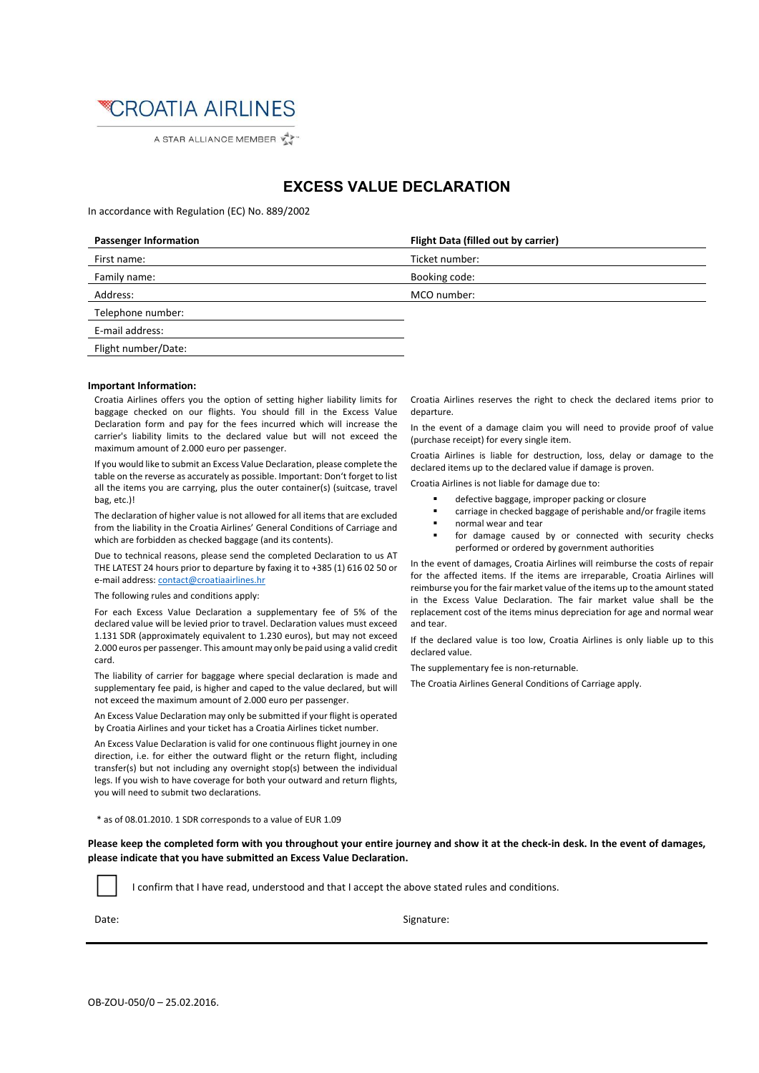

A STAR ALLIANCE MEMBER

## **EXCESS VALUE DECLARATION**

In accordance with Regulation (EC) No. 889/2002

| <b>Passenger Information</b> | Flight Data (filled out by carrier) |
|------------------------------|-------------------------------------|
| First name:                  | Ticket number:                      |
| Family name:                 | Booking code:                       |
| Address:                     | MCO number:                         |
| Telephone number:            |                                     |
| E-mail address:              |                                     |
| Flight number/Date:          |                                     |
|                              |                                     |

## **Important Information:**

Croatia Airlines offers you the option of setting higher liability limits for baggage checked on our flights. You should fill in the Excess Value Declaration form and pay for the fees incurred which will increase the carrier's liability limits to the declared value but will not exceed the maximum amount of 2.000 euro per passenger.

If you would like to submit an Excess Value Declaration, please complete the table on the reverse as accurately as possible. Important: Don't forget to list all the items you are carrying, plus the outer container(s) (suitcase, travel bag, etc.)!

The declaration of higher value is not allowed for all items that are excluded from the liability in the Croatia Airlines' General Conditions of Carriage and which are forbidden as checked baggage (and its contents).

Due to technical reasons, please send the completed Declaration to us AT THE LATEST 24 hours prior to departure by faxing it to +385 (1) 616 02 50 or e-mail address: contact@croatiaairlines.hr

The following rules and conditions apply:

For each Excess Value Declaration a supplementary fee of 5% of the declared value will be levied prior to travel. Declaration values must exceed 1.131 SDR (approximately equivalent to 1.230 euros), but may not exceed 2.000 euros per passenger. This amount may only be paid using a valid credit card.

The liability of carrier for baggage where special declaration is made and supplementary fee paid, is higher and caped to the value declared, but will not exceed the maximum amount of 2.000 euro per passenger.

An Excess Value Declaration may only be submitted if your flight is operated by Croatia Airlines and your ticket has a Croatia Airlines ticket number.

An Excess Value Declaration is valid for one continuous flight journey in one direction, i.e. for either the outward flight or the return flight, including transfer(s) but not including any overnight stop(s) between the individual legs. If you wish to have coverage for both your outward and return flights, you will need to submit two declarations.

\* as of 08.01.2010. 1 SDR corresponds to a value of EUR 1.09

Please keep the completed form with you throughout your entire journey and show it at the check-in desk. In the event of damages, **please indicate that you have submitted an Excess Value Declaration.**

I confirm that I have read, understood and that I accept the above stated rules and conditions.

Date: Signature: Signature: Signature: Signature: Signature: Signature: Signature: Signature: Signature: Signature: Signature: Signature: Signature: Signature: Signature: Signature: Signature: Signature: Signature: Signatu

Croatia Airlines reserves the right to check the declared items prior to departure.

In the event of a damage claim you will need to provide proof of value (purchase receipt) for every single item.

Croatia Airlines is liable for destruction, loss, delay or damage to the declared items up to the declared value if damage is proven.

Croatia Airlines is not liable for damage due to:

- defective baggage, improper packing or closure
- carriage in checked baggage of perishable and/or fragile items
- normal wear and tear
- for damage caused by or connected with security checks performed or ordered by government authorities

In the event of damages, Croatia Airlines will reimburse the costs of repair for the affected items. If the items are irreparable, Croatia Airlines will reimburse you for the fair market value of the items up to the amount stated in the Excess Value Declaration. The fair market value shall be the replacement cost of the items minus depreciation for age and normal wear and tear.

If the declared value is too low, Croatia Airlines is only liable up to this declared value.

The supplementary fee is non‐returnable.

The Croatia Airlines General Conditions of Carriage apply.